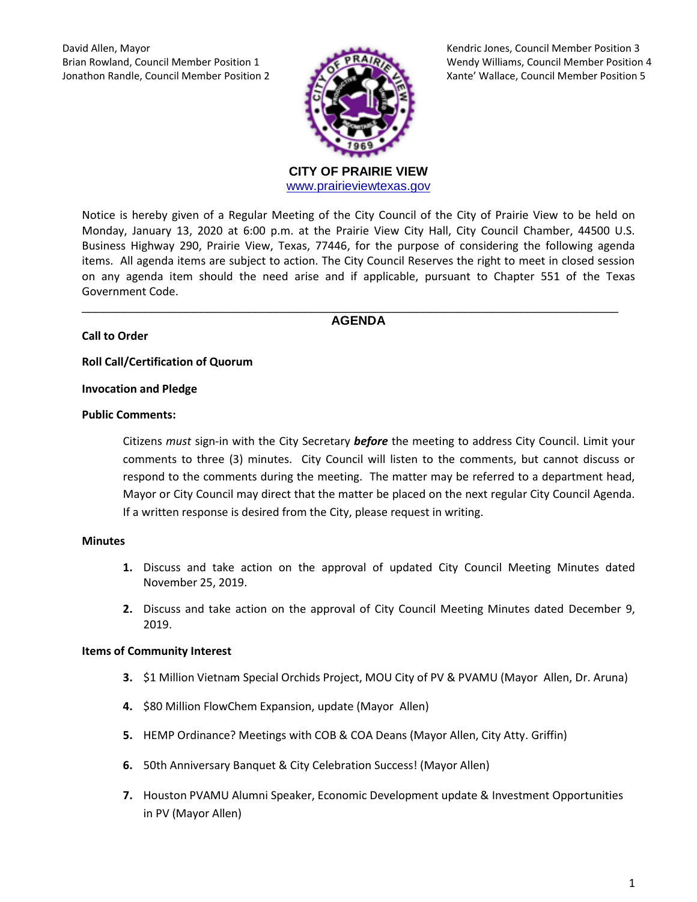David Allen, Mayor Kendric Jones, Council Member Position 3



Brian Rowland, Council Member Position 1 Wendy Williams, Council Member Position 4 Jonathon Randle, Council Member Position 2 Xante' Wallace, Council Member Position 5

> **CITY OF PRAIRIE VIEW**  [www.prairieviewtexas.gov](http://www.prairieviewtexas.gov/)

Notice is hereby given of a Regular Meeting of the City Council of the City of Prairie View to be held on Monday, January 13, 2020 at 6:00 p.m. at the Prairie View City Hall, City Council Chamber, 44500 U.S. Business Highway 290, Prairie View, Texas, 77446, for the purpose of considering the following agenda items. All agenda items are subject to action. The City Council Reserves the right to meet in closed session on any agenda item should the need arise and if applicable, pursuant to Chapter 551 of the Texas Government Code.

\_\_\_\_\_\_\_\_\_\_\_\_\_\_\_\_\_\_\_\_\_\_\_\_\_\_\_\_\_\_\_\_\_\_\_\_\_\_\_\_\_\_\_\_\_\_\_\_\_\_\_\_\_\_\_\_\_\_\_\_\_\_\_\_\_\_\_\_\_\_\_\_\_\_\_\_\_ **AGENDA**

# **Call to Order**

**Roll Call/Certification of Quorum**

#### **Invocation and Pledge**

#### **Public Comments:**

Citizens *must* sign-in with the City Secretary *before* the meeting to address City Council. Limit your comments to three (3) minutes. City Council will listen to the comments, but cannot discuss or respond to the comments during the meeting. The matter may be referred to a department head, Mayor or City Council may direct that the matter be placed on the next regular City Council Agenda. If a written response is desired from the City, please request in writing.

#### **Minutes**

- **1.** Discuss and take action on the approval of updated City Council Meeting Minutes dated November 25, 2019.
- **2.** Discuss and take action on the approval of City Council Meeting Minutes dated December 9, 2019.

## **Items of Community Interest**

- **3.** \$1 Million Vietnam Special Orchids Project, MOU City of PV & PVAMU (Mayor Allen, Dr. Aruna)
- **4.** \$80 Million FlowChem Expansion, update (Mayor Allen)
- **5.** HEMP Ordinance? Meetings with COB & COA Deans (Mayor Allen, City Atty. Griffin)
- **6.** 50th Anniversary Banquet & City Celebration Success! (Mayor Allen)
- **7.** Houston PVAMU Alumni Speaker, Economic Development update & Investment Opportunities in PV (Mayor Allen)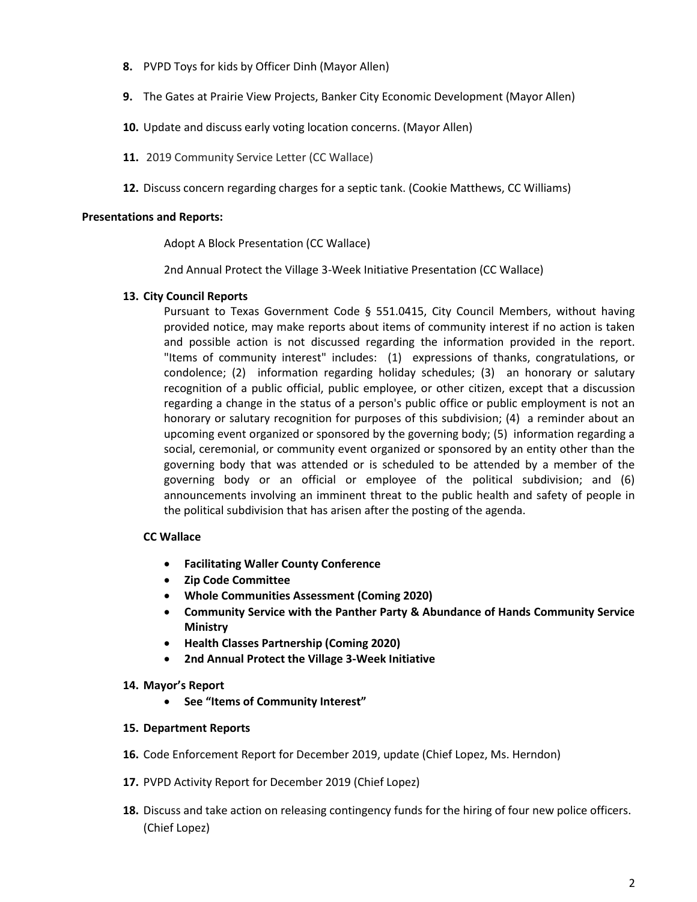- **8.** PVPD Toys for kids by Officer Dinh (Mayor Allen)
- **9.** The Gates at Prairie View Projects, Banker City Economic Development (Mayor Allen)
- **10.** Update and discuss early voting location concerns. (Mayor Allen)
- **11.** 2019 Community Service Letter (CC Wallace)
- **12.** Discuss concern regarding charges for a septic tank. (Cookie Matthews, CC Williams)

#### **Presentations and Reports:**

Adopt A Block Presentation (CC Wallace)

2nd Annual Protect the Village 3-Week Initiative Presentation (CC Wallace)

## **13. City Council Reports**

Pursuant to Texas Government Code § 551.0415, City Council Members, without having provided notice, may make reports about items of community interest if no action is taken and possible action is not discussed regarding the information provided in the report. "Items of community interest" includes: (1) expressions of thanks, congratulations, or condolence; (2) information regarding holiday schedules; (3) an honorary or salutary recognition of a public official, public employee, or other citizen, except that a discussion regarding a change in the status of a person's public office or public employment is not an honorary or salutary recognition for purposes of this subdivision; (4) a reminder about an upcoming event organized or sponsored by the governing body; (5) information regarding a social, ceremonial, or community event organized or sponsored by an entity other than the governing body that was attended or is scheduled to be attended by a member of the governing body or an official or employee of the political subdivision; and (6) announcements involving an imminent threat to the public health and safety of people in the political subdivision that has arisen after the posting of the agenda.

## **CC Wallace**

- **Facilitating Waller County Conference**
- **Zip Code Committee**
- **Whole Communities Assessment (Coming 2020)**
- **Community Service with the Panther Party & Abundance of Hands Community Service Ministry**
- **Health Classes Partnership (Coming 2020)**
- **2nd Annual Protect the Village 3-Week Initiative**

## **14. Mayor's Report**

**See "Items of Community Interest"**

## **15. Department Reports**

- **16.** Code Enforcement Report for December 2019, update (Chief Lopez, Ms. Herndon)
- **17.** PVPD Activity Report for December 2019 (Chief Lopez)
- **18.** Discuss and take action on releasing contingency funds for the hiring of four new police officers. (Chief Lopez)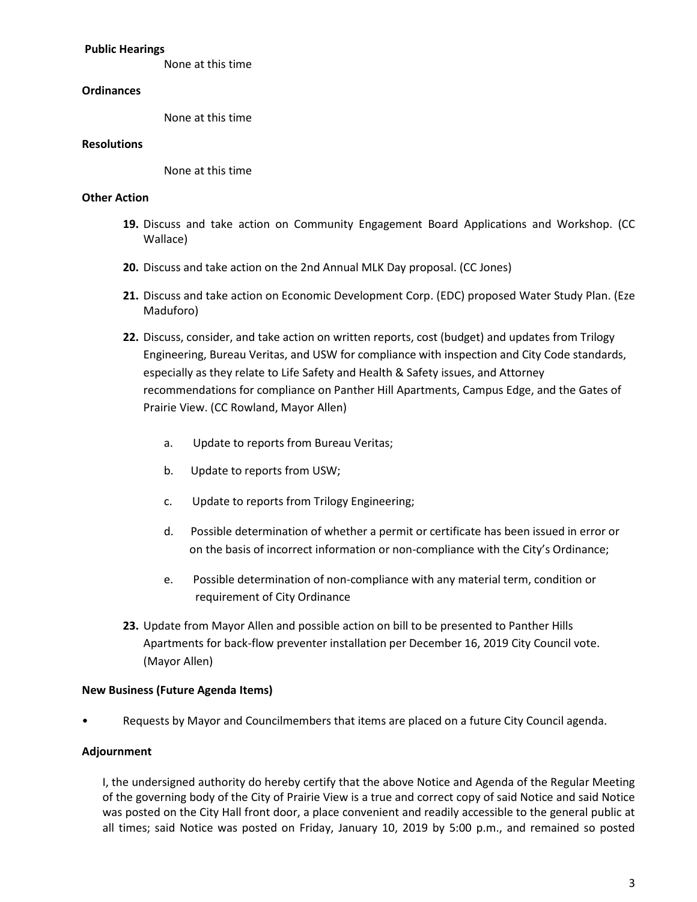#### **Public Hearings**

None at this time

## **Ordinances**

None at this time

#### **Resolutions**

None at this time

## **Other Action**

- **19.** Discuss and take action on Community Engagement Board Applications and Workshop. (CC Wallace)
- **20.** Discuss and take action on the 2nd Annual MLK Day proposal. (CC Jones)
- **21.** Discuss and take action on Economic Development Corp. (EDC) proposed Water Study Plan. (Eze Maduforo)
- **22.** Discuss, consider, and take action on written reports, cost (budget) and updates from Trilogy Engineering, Bureau Veritas, and USW for compliance with inspection and City Code standards, especially as they relate to Life Safety and Health & Safety issues, and Attorney recommendations for compliance on Panther Hill Apartments, Campus Edge, and the Gates of Prairie View. (CC Rowland, Mayor Allen)
	- a. Update to reports from Bureau Veritas;
	- b. Update to reports from USW;
	- c. Update to reports from Trilogy Engineering;
	- d. Possible determination of whether a permit or certificate has been issued in error or on the basis of incorrect information or non-compliance with the City's Ordinance;
	- e. Possible determination of non-compliance with any material term, condition or requirement of City Ordinance
- **23.** Update from Mayor Allen and possible action on bill to be presented to Panther Hills Apartments for back-flow preventer installation per December 16, 2019 City Council vote. (Mayor Allen)

## **New Business (Future Agenda Items)**

• Requests by Mayor and Councilmembers that items are placed on a future City Council agenda.

# **Adjournment**

I, the undersigned authority do hereby certify that the above Notice and Agenda of the Regular Meeting of the governing body of the City of Prairie View is a true and correct copy of said Notice and said Notice was posted on the City Hall front door, a place convenient and readily accessible to the general public at all times; said Notice was posted on Friday, January 10, 2019 by 5:00 p.m., and remained so posted